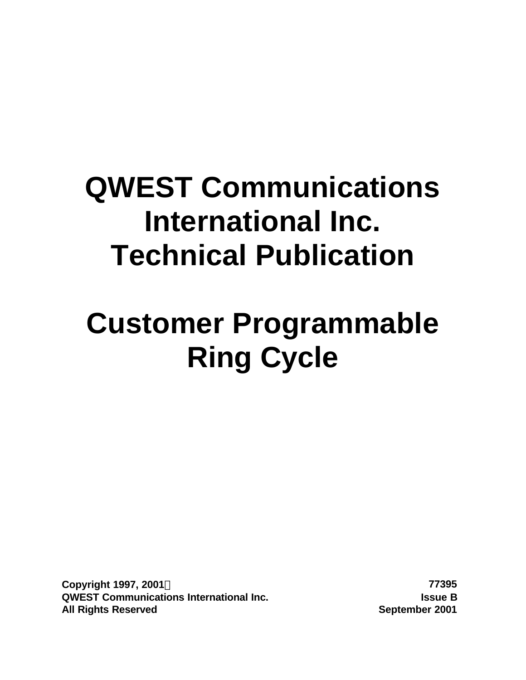# **QWEST Communications International Inc. Technical Publication**

# **Customer Programmable Ring Cycle**

**Copyright 1997, 2001Ó 77395 QWEST Communications International Inc. Issue B All Rights Reserved September 2001**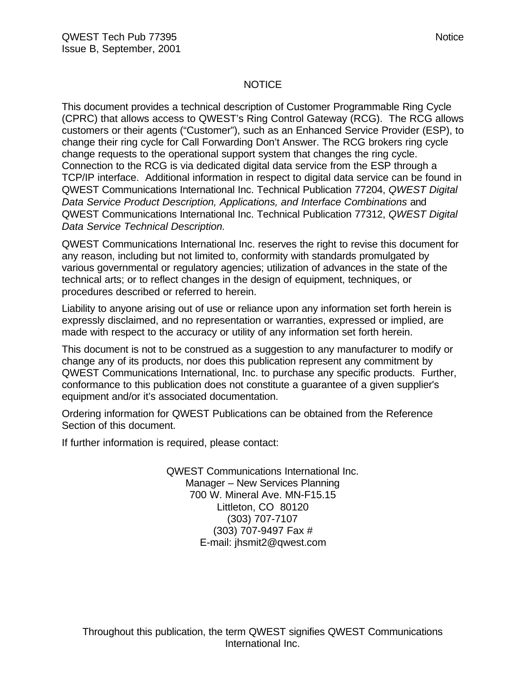#### NOTICE

This document provides a technical description of Customer Programmable Ring Cycle (CPRC) that allows access to QWEST's Ring Control Gateway (RCG). The RCG allows customers or their agents ("Customer"), such as an Enhanced Service Provider (ESP), to change their ring cycle for Call Forwarding Don't Answer. The RCG brokers ring cycle change requests to the operational support system that changes the ring cycle. Connection to the RCG is via dedicated digital data service from the ESP through a TCP/IP interface. Additional information in respect to digital data service can be found in QWEST Communications International Inc. Technical Publication 77204, *QWEST Digital Data Service Product Description, Applications, and Interface Combinations* and QWEST Communications International Inc. Technical Publication 77312, *QWEST Digital Data Service Technical Description.*

QWEST Communications International Inc. reserves the right to revise this document for any reason, including but not limited to, conformity with standards promulgated by various governmental or regulatory agencies; utilization of advances in the state of the technical arts; or to reflect changes in the design of equipment, techniques, or procedures described or referred to herein.

Liability to anyone arising out of use or reliance upon any information set forth herein is expressly disclaimed, and no representation or warranties, expressed or implied, are made with respect to the accuracy or utility of any information set forth herein.

This document is not to be construed as a suggestion to any manufacturer to modify or change any of its products, nor does this publication represent any commitment by QWEST Communications International, Inc. to purchase any specific products. Further, conformance to this publication does not constitute a guarantee of a given supplier's equipment and/or it's associated documentation.

Ordering information for QWEST Publications can be obtained from the Reference Section of this document.

If further information is required, please contact:

QWEST Communications International Inc. Manager – New Services Planning 700 W. Mineral Ave. MN-F15.15 Littleton, CO 80120 (303) 707-7107 (303) 707-9497 Fax # E-mail: jhsmit2@qwest.com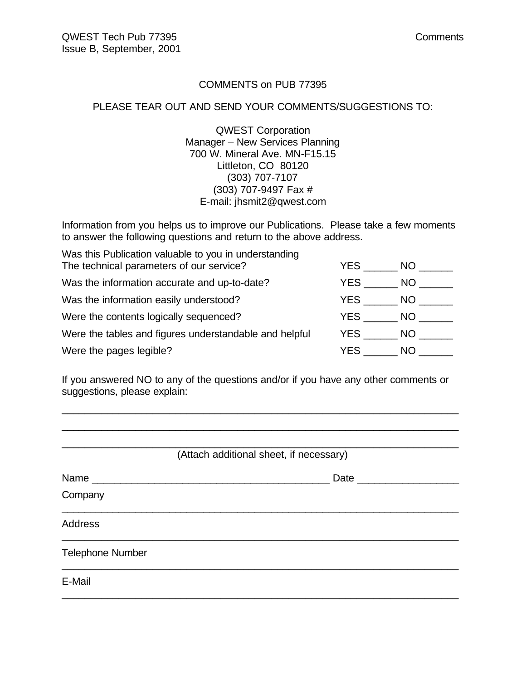#### COMMENTS on PUB 77395

#### PLEASE TEAR OUT AND SEND YOUR COMMENTS/SUGGESTIONS TO:

QWEST Corporation Manager – New Services Planning 700 W. Mineral Ave. MN-F15.15 Littleton, CO 80120 (303) 707-7107 (303) 707-9497 Fax # E-mail: jhsmit2@qwest.com

Information from you helps us to improve our Publications. Please take a few moments to answer the following questions and return to the above address.

| Was this Publication valuable to you in understanding  |      |      |
|--------------------------------------------------------|------|------|
| The technical parameters of our service?               | YES. | NO.  |
| Was the information accurate and up-to-date?           | YES. | NO.  |
| Was the information easily understood?                 | YES  | NO.  |
| Were the contents logically sequenced?                 | YES  | NO - |
| Were the tables and figures understandable and helpful | YES  | NO.  |
| Were the pages legible?                                | YES  | NO.  |

If you answered NO to any of the questions and/or if you have any other comments or suggestions, please explain:

\_\_\_\_\_\_\_\_\_\_\_\_\_\_\_\_\_\_\_\_\_\_\_\_\_\_\_\_\_\_\_\_\_\_\_\_\_\_\_\_\_\_\_\_\_\_\_\_\_\_\_\_\_\_\_\_\_\_\_\_\_\_\_\_\_\_\_\_\_\_ \_\_\_\_\_\_\_\_\_\_\_\_\_\_\_\_\_\_\_\_\_\_\_\_\_\_\_\_\_\_\_\_\_\_\_\_\_\_\_\_\_\_\_\_\_\_\_\_\_\_\_\_\_\_\_\_\_\_\_\_\_\_\_\_\_\_\_\_\_\_

| (Attach additional sheet, if necessary) |                     |  |  |  |
|-----------------------------------------|---------------------|--|--|--|
| Name                                    | Date ______________ |  |  |  |
| Company                                 |                     |  |  |  |
| <b>Address</b>                          |                     |  |  |  |
| <b>Telephone Number</b>                 |                     |  |  |  |
| E-Mail                                  |                     |  |  |  |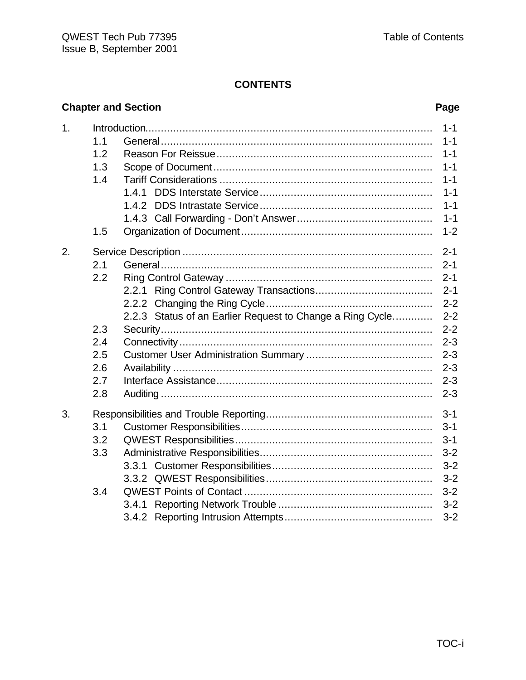# **Chapter and Section**

### Page

| 1. |     |                                                           | $1 - 1$ |
|----|-----|-----------------------------------------------------------|---------|
|    | 1.1 |                                                           | $1 - 1$ |
|    | 1.2 |                                                           | $1 - 1$ |
|    | 1.3 |                                                           | $1 - 1$ |
|    | 1.4 |                                                           | $1 - 1$ |
|    |     | 1.4.1                                                     | $1 - 1$ |
|    |     | 1.4.2                                                     | $1 - 1$ |
|    |     |                                                           | $1 - 1$ |
|    | 1.5 |                                                           | $1 - 2$ |
| 2. |     |                                                           | $2 - 1$ |
|    | 2.1 |                                                           | $2 - 1$ |
|    | 2.2 |                                                           | $2 - 1$ |
|    |     | 2.2.1                                                     | $2 - 1$ |
|    |     |                                                           | $2 - 2$ |
|    |     | 2.2.3 Status of an Earlier Request to Change a Ring Cycle | $2 - 2$ |
|    | 2.3 |                                                           | $2 - 2$ |
|    | 2.4 |                                                           | $2 - 3$ |
|    | 2.5 |                                                           | $2 - 3$ |
|    | 2.6 |                                                           | $2 - 3$ |
|    | 2.7 |                                                           | $2 - 3$ |
|    | 2.8 |                                                           | $2 - 3$ |
| 3. |     |                                                           | $3 - 1$ |
|    | 3.1 |                                                           | $3 - 1$ |
|    | 3.2 |                                                           | $3 - 1$ |
|    | 3.3 |                                                           | $3 - 2$ |
|    |     |                                                           | $3 - 2$ |
|    |     |                                                           | $3 - 2$ |
|    | 3.4 |                                                           | $3 - 2$ |
|    |     | 3.4.1                                                     | $3 - 2$ |
|    |     |                                                           | $3 - 2$ |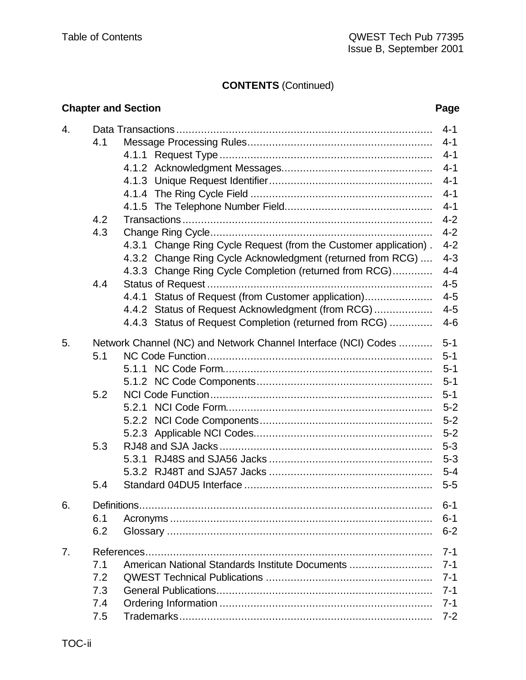# **CONTENTS** (Continued)

|                |     | <b>Chapter and Section</b>                                       | Page    |
|----------------|-----|------------------------------------------------------------------|---------|
| 4.             |     |                                                                  | $4 - 1$ |
|                | 4.1 |                                                                  | $4 - 1$ |
|                |     |                                                                  | $4 - 1$ |
|                |     |                                                                  | $4 - 1$ |
|                |     |                                                                  | $4 - 1$ |
|                |     |                                                                  | $4 - 1$ |
|                |     |                                                                  | $4 - 1$ |
|                | 4.2 |                                                                  | $4 - 2$ |
|                | 4.3 |                                                                  | $4 - 2$ |
|                |     | 4.3.1 Change Ring Cycle Request (from the Customer application). | $4 - 2$ |
|                |     | 4.3.2 Change Ring Cycle Acknowledgment (returned from RCG)       | $4 - 3$ |
|                |     | 4.3.3 Change Ring Cycle Completion (returned from RCG)           | $4 - 4$ |
|                | 4.4 |                                                                  | $4 - 5$ |
|                |     | 4.4.1 Status of Request (from Customer application)              | $4 - 5$ |
|                |     | 4.4.2 Status of Request Acknowledgment (from RCG)                | $4 - 5$ |
|                |     | 4.4.3 Status of Request Completion (returned from RCG)           | $4 - 6$ |
| 5.             |     | Network Channel (NC) and Network Channel Interface (NCI) Codes   | $5 - 1$ |
|                | 5.1 |                                                                  | $5 - 1$ |
|                |     |                                                                  | $5 - 1$ |
|                |     |                                                                  | $5 - 1$ |
|                | 5.2 |                                                                  | $5 - 1$ |
|                |     |                                                                  | $5-2$   |
|                |     |                                                                  | $5 - 2$ |
|                |     |                                                                  | $5 - 2$ |
|                | 5.3 |                                                                  | $5 - 3$ |
|                |     |                                                                  | $5 - 3$ |
|                |     |                                                                  | $5 - 4$ |
|                | 5.4 |                                                                  | $5-5$   |
| 6.             |     |                                                                  | $6 - 1$ |
|                | 6.1 |                                                                  | $6 - 1$ |
|                | 6.2 |                                                                  | $6 - 2$ |
| 7 <sub>1</sub> |     |                                                                  | $7 - 1$ |
|                | 7.1 | American National Standards Institute Documents                  | $7 - 1$ |
|                | 7.2 |                                                                  | $7 - 1$ |
|                | 7.3 |                                                                  | $7 - 1$ |
|                | 7.4 |                                                                  | $7 - 1$ |
|                | 7.5 |                                                                  | $7 - 2$ |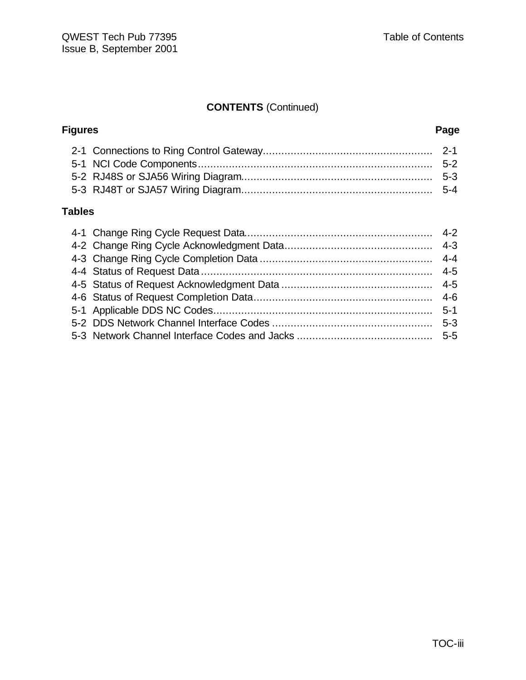# **CONTENTS** (Continued)

| Page |
|------|
|      |
|      |
|      |
|      |
|      |

### **Tables**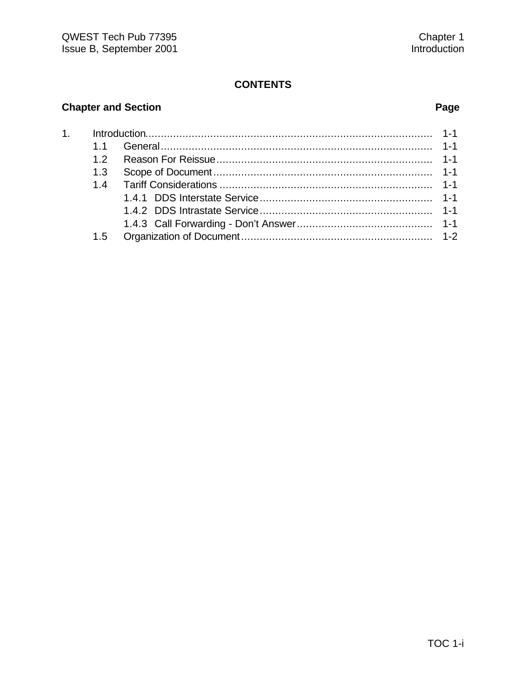# **Chapter and Section Page**

| 1.5 |  |
|-----|--|
|     |  |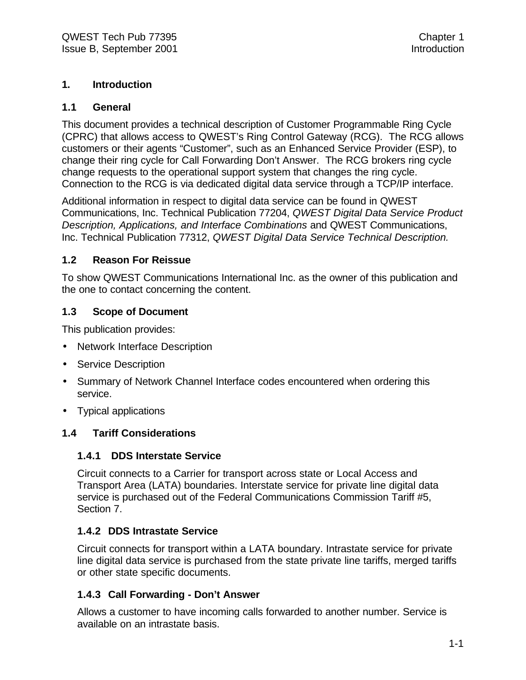#### **1. Introduction**

#### **1.1 General**

This document provides a technical description of Customer Programmable Ring Cycle (CPRC) that allows access to QWEST's Ring Control Gateway (RCG). The RCG allows customers or their agents "Customer", such as an Enhanced Service Provider (ESP), to change their ring cycle for Call Forwarding Don't Answer. The RCG brokers ring cycle change requests to the operational support system that changes the ring cycle. Connection to the RCG is via dedicated digital data service through a TCP/IP interface.

Additional information in respect to digital data service can be found in QWEST Communications, Inc. Technical Publication 77204, *QWEST Digital Data Service Product Description, Applications, and Interface Combinations* and QWEST Communications, Inc. Technical Publication 77312, *QWEST Digital Data Service Technical Description.*

#### **1.2 Reason For Reissue**

To show QWEST Communications International Inc. as the owner of this publication and the one to contact concerning the content.

#### **1.3 Scope of Document**

This publication provides:

- Network Interface Description
- Service Description
- Summary of Network Channel Interface codes encountered when ordering this service.
- Typical applications

#### **1.4 Tariff Considerations**

#### **1.4.1 DDS Interstate Service**

Circuit connects to a Carrier for transport across state or Local Access and Transport Area (LATA) boundaries. Interstate service for private line digital data service is purchased out of the Federal Communications Commission Tariff #5, Section 7.

#### **1.4.2 DDS Intrastate Service**

Circuit connects for transport within a LATA boundary. Intrastate service for private line digital data service is purchased from the state private line tariffs, merged tariffs or other state specific documents.

#### **1.4.3 Call Forwarding - Don't Answer**

Allows a customer to have incoming calls forwarded to another number. Service is available on an intrastate basis.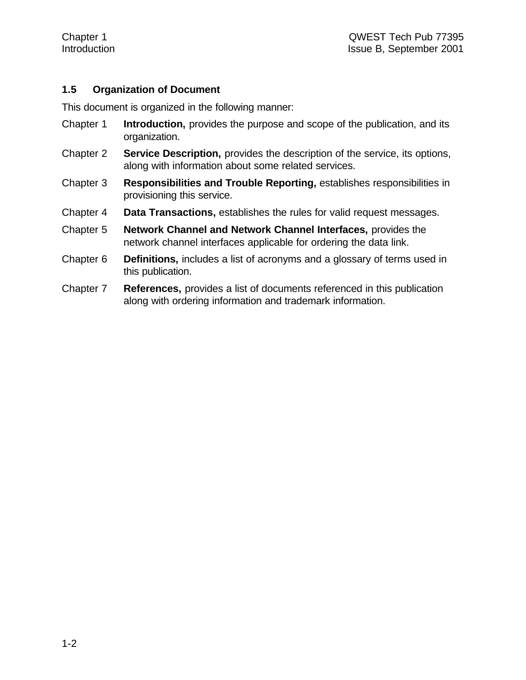#### **1.5 Organization of Document**

This document is organized in the following manner:

- Chapter 1 **Introduction,** provides the purpose and scope of the publication, and its organization.
- Chapter 2 **Service Description,** provides the description of the service, its options, along with information about some related services.
- Chapter 3 **Responsibilities and Trouble Reporting,** establishes responsibilities in provisioning this service.
- Chapter 4 **Data Transactions,** establishes the rules for valid request messages.
- Chapter 5 **Network Channel and Network Channel Interfaces,** provides the network channel interfaces applicable for ordering the data link.
- Chapter 6 **Definitions,** includes a list of acronyms and a glossary of terms used in this publication.
- Chapter 7 **References,** provides a list of documents referenced in this publication along with ordering information and trademark information.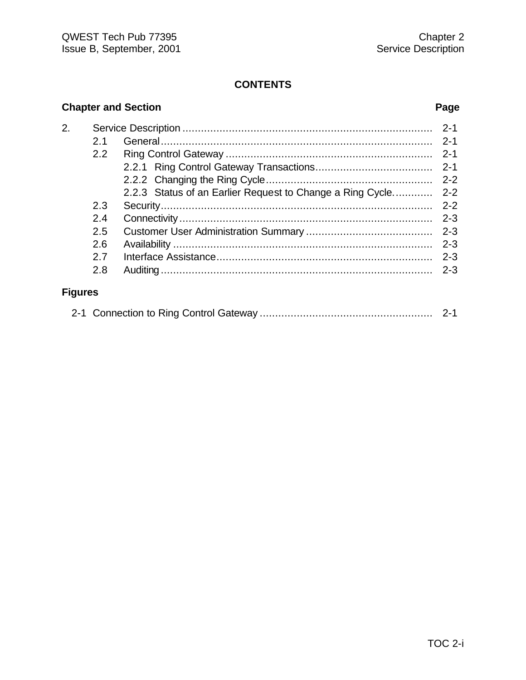# **Chapter and Section Page**

| 2.             |     | $2 - 1$ |
|----------------|-----|---------|
|                | 2.1 |         |
|                | 2.2 | $2 - 1$ |
|                |     |         |
|                |     |         |
|                |     |         |
|                | 2.3 | $2 - 2$ |
|                | 2.4 | $2 - 3$ |
|                | 2.5 |         |
|                | 2.6 | $2 - 3$ |
|                | 27  | $2 - 3$ |
|                | 2.8 | $2 - 3$ |
| <b>Figures</b> |     |         |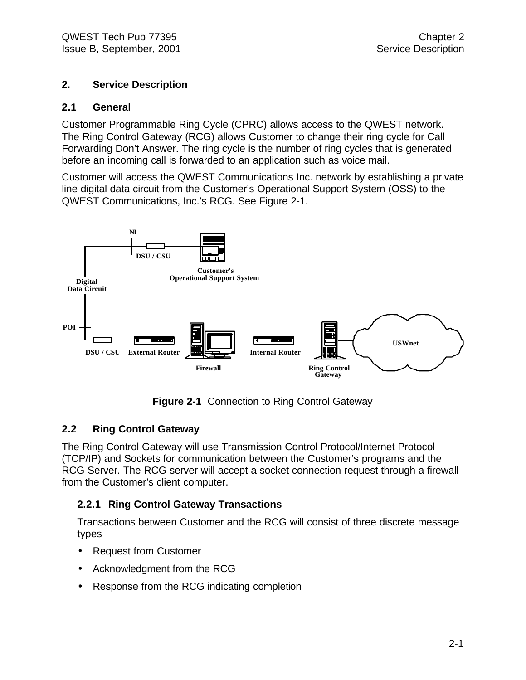#### **2. Service Description**

#### **2.1 General**

Customer Programmable Ring Cycle (CPRC) allows access to the QWEST network. The Ring Control Gateway (RCG) allows Customer to change their ring cycle for Call Forwarding Don't Answer. The ring cycle is the number of ring cycles that is generated before an incoming call is forwarded to an application such as voice mail.

Customer will access the QWEST Communications Inc. network by establishing a private line digital data circuit from the Customer's Operational Support System (OSS) to the QWEST Communications, Inc.'s RCG. See Figure 2-1.



**Figure 2-1** Connection to Ring Control Gateway

#### **2.2 Ring Control Gateway**

The Ring Control Gateway will use Transmission Control Protocol/Internet Protocol (TCP/IP) and Sockets for communication between the Customer's programs and the RCG Server. The RCG server will accept a socket connection request through a firewall from the Customer's client computer.

#### **2.2.1 Ring Control Gateway Transactions**

Transactions between Customer and the RCG will consist of three discrete message types

- Request from Customer
- Acknowledgment from the RCG
- Response from the RCG indicating completion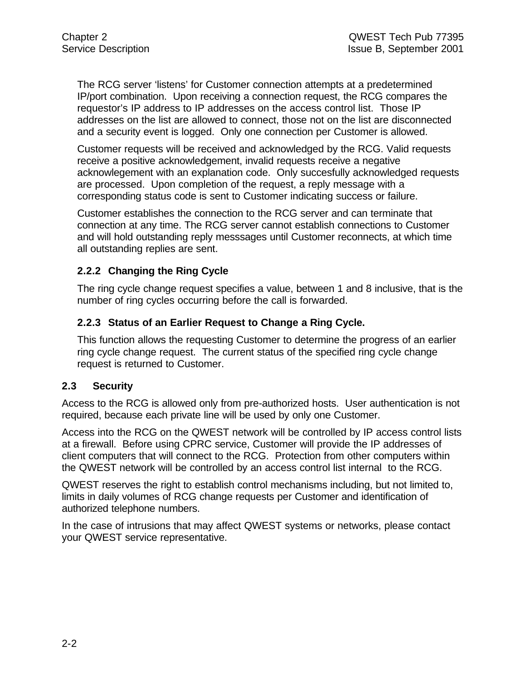The RCG server 'listens' for Customer connection attempts at a predetermined IP/port combination. Upon receiving a connection request, the RCG compares the requestor's IP address to IP addresses on the access control list. Those IP addresses on the list are allowed to connect, those not on the list are disconnected and a security event is logged. Only one connection per Customer is allowed.

Customer requests will be received and acknowledged by the RCG. Valid requests receive a positive acknowledgement, invalid requests receive a negative acknowlegement with an explanation code. Only succesfully acknowledged requests are processed. Upon completion of the request, a reply message with a corresponding status code is sent to Customer indicating success or failure.

Customer establishes the connection to the RCG server and can terminate that connection at any time. The RCG server cannot establish connections to Customer and will hold outstanding reply messsages until Customer reconnects, at which time all outstanding replies are sent.

#### **2.2.2 Changing the Ring Cycle**

The ring cycle change request specifies a value, between 1 and 8 inclusive, that is the number of ring cycles occurring before the call is forwarded.

#### **2.2.3 Status of an Earlier Request to Change a Ring Cycle.**

This function allows the requesting Customer to determine the progress of an earlier ring cycle change request. The current status of the specified ring cycle change request is returned to Customer.

#### **2.3 Security**

Access to the RCG is allowed only from pre-authorized hosts. User authentication is not required, because each private line will be used by only one Customer.

Access into the RCG on the QWEST network will be controlled by IP access control lists at a firewall. Before using CPRC service, Customer will provide the IP addresses of client computers that will connect to the RCG. Protection from other computers within the QWEST network will be controlled by an access control list internal to the RCG.

QWEST reserves the right to establish control mechanisms including, but not limited to, limits in daily volumes of RCG change requests per Customer and identification of authorized telephone numbers.

In the case of intrusions that may affect QWEST systems or networks, please contact your QWEST service representative.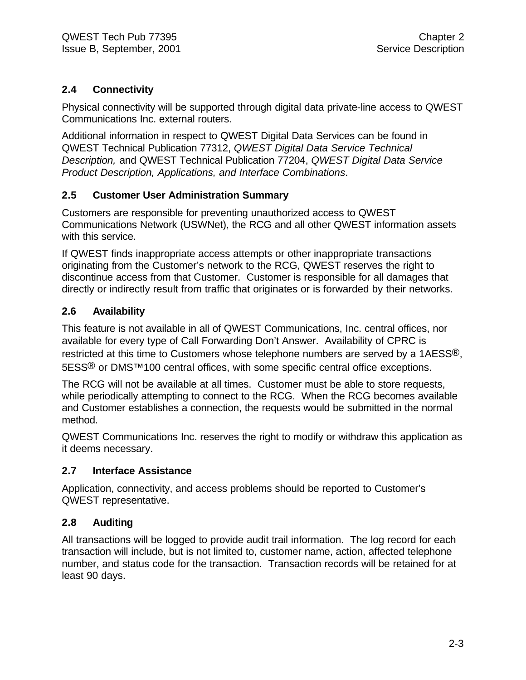### **2.4 Connectivity**

Physical connectivity will be supported through digital data private-line access to QWEST Communications Inc. external routers.

Additional information in respect to QWEST Digital Data Services can be found in QWEST Technical Publication 77312, *QWEST Digital Data Service Technical Description,* and QWEST Technical Publication 77204, *QWEST Digital Data Service Product Description, Applications, and Interface Combinations*.

#### **2.5 Customer User Administration Summary**

Customers are responsible for preventing unauthorized access to QWEST Communications Network (USWNet), the RCG and all other QWEST information assets with this service.

If QWEST finds inappropriate access attempts or other inappropriate transactions originating from the Customer's network to the RCG, QWEST reserves the right to discontinue access from that Customer. Customer is responsible for all damages that directly or indirectly result from traffic that originates or is forwarded by their networks.

#### **2.6 Availability**

This feature is not available in all of QWEST Communications, Inc. central offices, nor available for every type of Call Forwarding Don't Answer. Availability of CPRC is restricted at this time to Customers whose telephone numbers are served by a 1AESS®, 5ESS<sup>®</sup> or DMS<sup>™</sup>100 central offices, with some specific central office exceptions.

The RCG will not be available at all times. Customer must be able to store requests, while periodically attempting to connect to the RCG. When the RCG becomes available and Customer establishes a connection, the requests would be submitted in the normal method.

QWEST Communications Inc. reserves the right to modify or withdraw this application as it deems necessary.

#### **2.7 Interface Assistance**

Application, connectivity, and access problems should be reported to Customer's QWEST representative.

#### **2.8 Auditing**

All transactions will be logged to provide audit trail information. The log record for each transaction will include, but is not limited to, customer name, action, affected telephone number, and status code for the transaction. Transaction records will be retained for at least 90 days.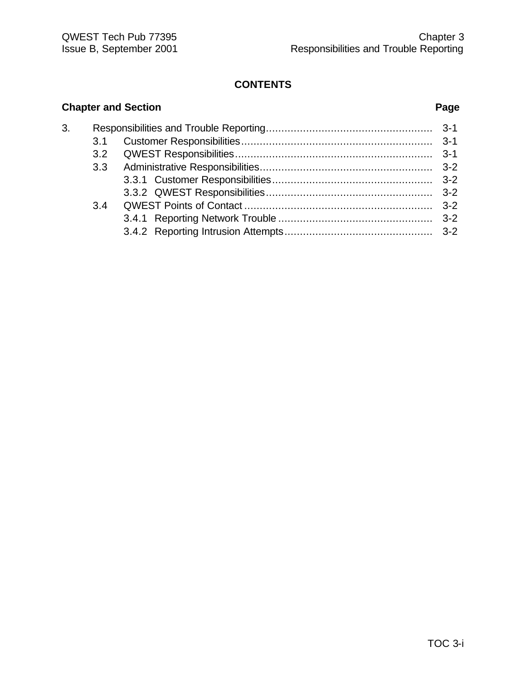### **Chapter and Section Page** 3. Responsibilities and Trouble Reporting...................................................... 3-1 3.1 Customer Responsibilities.............................................................. 3-1 3.2 QWEST Responsibilities................................................................ 3-1 3.3 Administrative Responsibilities........................................................ 3-2 3.3.1 Customer Responsibilities.................................................... 3-2 3.3.2 QWEST Responsibilities...................................................... 3-2 3.4 QWEST Points of Contact ............................................................. 3-2 3.4.1 Reporting Network Trouble .................................................. 3-2 3.4.2 Reporting Intrusion Attempts................................................ 3-2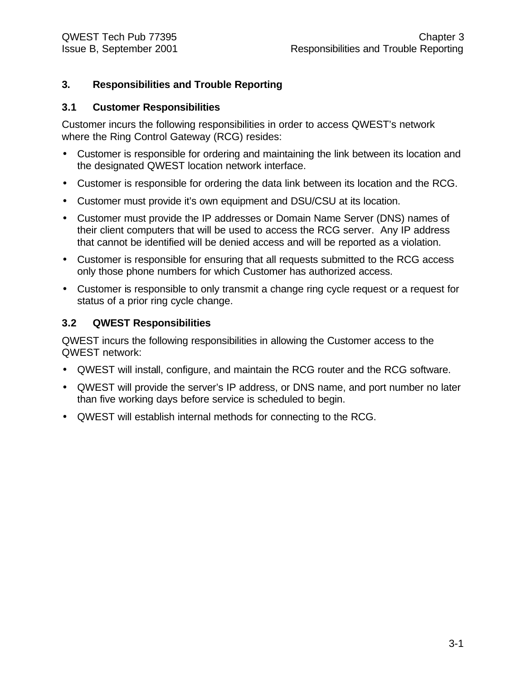#### **3. Responsibilities and Trouble Reporting**

#### **3.1 Customer Responsibilities**

Customer incurs the following responsibilities in order to access QWEST's network where the Ring Control Gateway (RCG) resides:

- Customer is responsible for ordering and maintaining the link between its location and the designated QWEST location network interface.
- Customer is responsible for ordering the data link between its location and the RCG.
- Customer must provide it's own equipment and DSU/CSU at its location.
- Customer must provide the IP addresses or Domain Name Server (DNS) names of their client computers that will be used to access the RCG server. Any IP address that cannot be identified will be denied access and will be reported as a violation.
- Customer is responsible for ensuring that all requests submitted to the RCG access only those phone numbers for which Customer has authorized access.
- Customer is responsible to only transmit a change ring cycle request or a request for status of a prior ring cycle change.

#### **3.2 QWEST Responsibilities**

QWEST incurs the following responsibilities in allowing the Customer access to the QWEST network:

- QWEST will install, configure, and maintain the RCG router and the RCG software.
- QWEST will provide the server's IP address, or DNS name, and port number no later than five working days before service is scheduled to begin.
- QWEST will establish internal methods for connecting to the RCG.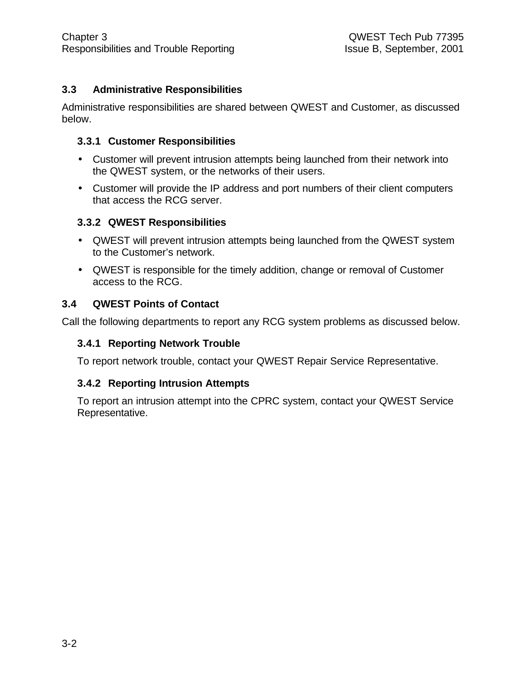#### **3.3 Administrative Responsibilities**

Administrative responsibilities are shared between QWEST and Customer, as discussed below.

#### **3.3.1 Customer Responsibilities**

- Customer will prevent intrusion attempts being launched from their network into the QWEST system, or the networks of their users.
- Customer will provide the IP address and port numbers of their client computers that access the RCG server.

#### **3.3.2 QWEST Responsibilities**

- QWEST will prevent intrusion attempts being launched from the QWEST system to the Customer's network.
- QWEST is responsible for the timely addition, change or removal of Customer access to the RCG.

#### **3.4 QWEST Points of Contact**

Call the following departments to report any RCG system problems as discussed below.

#### **3.4.1 Reporting Network Trouble**

To report network trouble, contact your QWEST Repair Service Representative.

#### **3.4.2 Reporting Intrusion Attempts**

To report an intrusion attempt into the CPRC system, contact your QWEST Service Representative.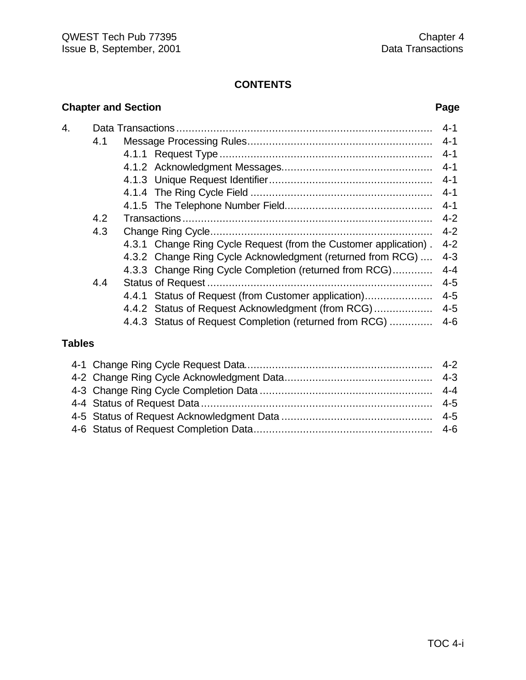|                  |     | <b>Chapter and Section</b>                                       | Page    |
|------------------|-----|------------------------------------------------------------------|---------|
| $\overline{4}$ . |     |                                                                  | $4 - 1$ |
|                  | 4.1 |                                                                  | $4 - 1$ |
|                  |     |                                                                  | $4 - 1$ |
|                  |     |                                                                  | $4 - 1$ |
|                  |     |                                                                  |         |
|                  |     |                                                                  |         |
|                  |     |                                                                  | $4 - 1$ |
|                  | 4.2 |                                                                  | $4 - 2$ |
|                  | 4.3 |                                                                  | $4 - 2$ |
|                  |     | 4.3.1 Change Ring Cycle Request (from the Customer application). | $4 - 2$ |
|                  |     | 4.3.2 Change Ring Cycle Acknowledgment (returned from RCG)       | $4 - 3$ |
|                  |     | 4.3.3 Change Ring Cycle Completion (returned from RCG)           | $4 - 4$ |
|                  | 4.4 |                                                                  | $4 - 5$ |
|                  |     | 4.4.1 Status of Request (from Customer application)              | $4 - 5$ |
|                  |     | 4.4.2 Status of Request Acknowledgment (from RCG)                | $4 - 5$ |
|                  |     | 4.4.3 Status of Request Completion (returned from RCG)           | $4 - 6$ |

### **Tables**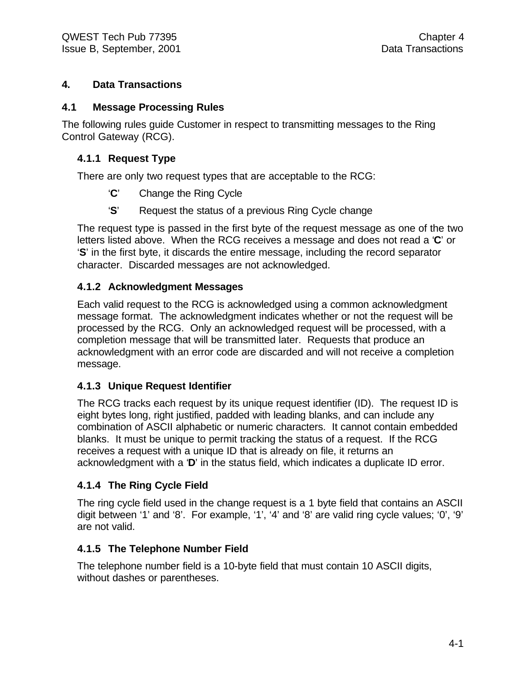#### **4. Data Transactions**

#### **4.1 Message Processing Rules**

The following rules guide Customer in respect to transmitting messages to the Ring Control Gateway (RCG).

#### **4.1.1 Request Type**

There are only two request types that are acceptable to the RCG:

- '**C**' Change the Ring Cycle
- '**S**' Request the status of a previous Ring Cycle change

The request type is passed in the first byte of the request message as one of the two letters listed above. When the RCG receives a message and does not read a '**C**' or '**S**' in the first byte, it discards the entire message, including the record separator character. Discarded messages are not acknowledged.

#### **4.1.2 Acknowledgment Messages**

Each valid request to the RCG is acknowledged using a common acknowledgment message format. The acknowledgment indicates whether or not the request will be processed by the RCG. Only an acknowledged request will be processed, with a completion message that will be transmitted later. Requests that produce an acknowledgment with an error code are discarded and will not receive a completion message.

#### **4.1.3 Unique Request Identifier**

The RCG tracks each request by its unique request identifier (ID). The request ID is eight bytes long, right justified, padded with leading blanks, and can include any combination of ASCII alphabetic or numeric characters. It cannot contain embedded blanks. It must be unique to permit tracking the status of a request. If the RCG receives a request with a unique ID that is already on file, it returns an acknowledgment with a '**D**' in the status field, which indicates a duplicate ID error.

#### **4.1.4 The Ring Cycle Field**

The ring cycle field used in the change request is a 1 byte field that contains an ASCII digit between '1' and '8'. For example, '1', '4' and '8' are valid ring cycle values; '0', '9' are not valid.

#### **4.1.5 The Telephone Number Field**

The telephone number field is a 10-byte field that must contain 10 ASCII digits, without dashes or parentheses.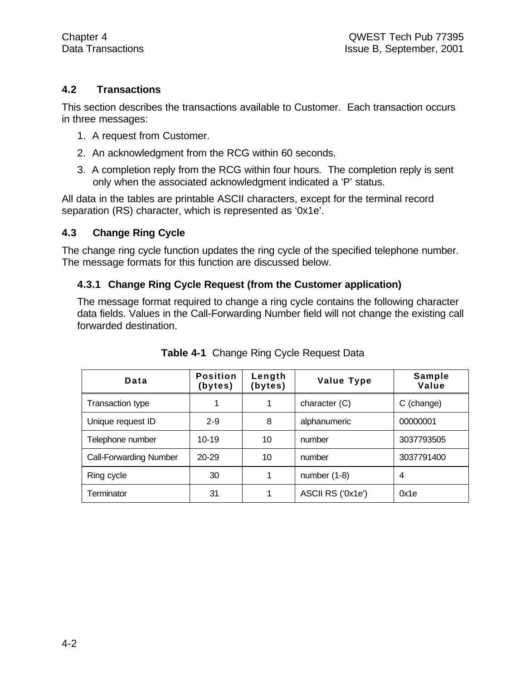#### **4.2 Transactions**

This section describes the transactions available to Customer. Each transaction occurs in three messages:

- 1. A request from Customer.
- 2. An acknowledgment from the RCG within 60 seconds.
- 3. A completion reply from the RCG within four hours. The completion reply is sent only when the associated acknowledgment indicated a 'P' status.

All data in the tables are printable ASCII characters, except for the terminal record separation (RS) character, which is represented as '0x1e'.

#### **4.3 Change Ring Cycle**

The change ring cycle function updates the ring cycle of the specified telephone number. The message formats for this function are discussed below.

#### **4.3.1 Change Ring Cycle Request (from the Customer application)**

The message format required to change a ring cycle contains the following character data fields. Values in the Call-Forwarding Number field will not change the existing call forwarded destination.

| Data                          | <b>Position</b><br>(bytes) | Length<br>(bytes) | Value Type        | Sample<br>Value |
|-------------------------------|----------------------------|-------------------|-------------------|-----------------|
| Transaction type              |                            |                   | character (C)     | C (change)      |
| Unique request ID             | $2 - 9$                    | 8                 | alphanumeric      | 00000001        |
| Telephone number              | $10 - 19$                  | 10                | number            | 3037793505      |
| <b>Call-Forwarding Number</b> | $20 - 29$                  | 10                | number            | 3037791400      |
| Ring cycle                    | 30                         |                   | number $(1-8)$    | 4               |
| Terminator                    | 31                         |                   | ASCII RS ('0x1e') | 0x1e            |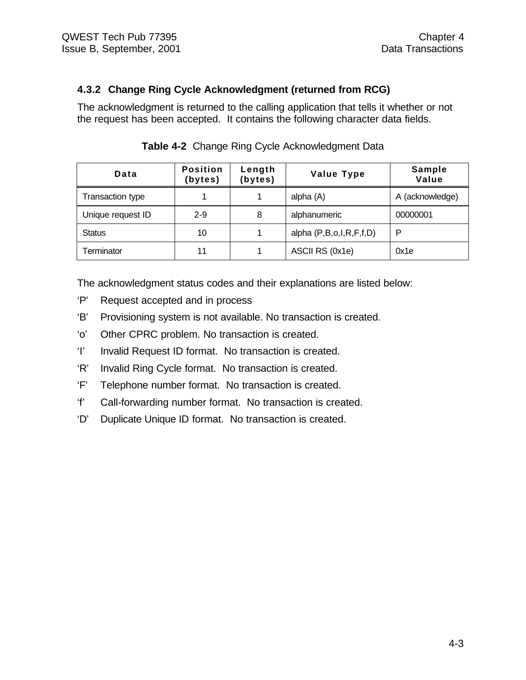#### **4.3.2 Change Ring Cycle Acknowledgment (returned from RCG)**

The acknowledgment is returned to the calling application that tells it whether or not the request has been accepted. It contains the following character data fields.

| Data              | <b>Position</b><br>(bytes) | Length<br>(bytes) | <b>Value Type</b>       | Sample<br>Value |
|-------------------|----------------------------|-------------------|-------------------------|-----------------|
| Transaction type  |                            |                   | alpha (A)               | A (acknowledge) |
| Unique request ID | $2 - 9$                    | 8                 | alphanumeric            | 00000001        |
| <b>Status</b>     | 10                         |                   | alpha (P,B,o,I,R,F,f,D) | P               |
| Terminator        | 11                         |                   | ASCII RS (0x1e)         | 0x1e            |

**Table 4-2** Change Ring Cycle Acknowledgment Data

The acknowledgment status codes and their explanations are listed below:

- 'P' Request accepted and in process
- 'B' Provisioning system is not available. No transaction is created.
- 'o' Other CPRC problem. No transaction is created.
- 'I' Invalid Request ID format. No transaction is created.
- 'R' Invalid Ring Cycle format. No transaction is created.
- 'F' Telephone number format. No transaction is created.
- 'f' Call-forwarding number format. No transaction is created.
- 'D' Duplicate Unique ID format. No transaction is created.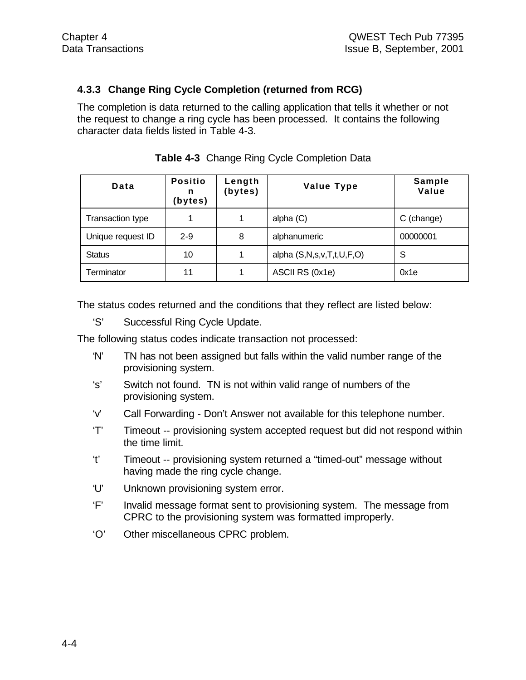### **4.3.3 Change Ring Cycle Completion (returned from RCG)**

The completion is data returned to the calling application that tells it whether or not the request to change a ring cycle has been processed. It contains the following character data fields listed in Table 4-3.

| Data              | <b>Positio</b><br>n<br>(bytes) | Length<br>(bytes) | <b>Value Type</b>         | Sample<br>Value |
|-------------------|--------------------------------|-------------------|---------------------------|-----------------|
| Transaction type  |                                |                   | alpha $(C)$               | C (change)      |
| Unique request ID | $2 - 9$                        | 8                 | alphanumeric              | 00000001        |
| <b>Status</b>     | 10                             |                   | alpha (S,N,s,v,T,t,U,F,O) | S               |
| Terminator        | 11                             |                   | ASCII RS (0x1e)           | 0x1e            |

**Table 4-3** Change Ring Cycle Completion Data

The status codes returned and the conditions that they reflect are listed below:

'S' Successful Ring Cycle Update.

The following status codes indicate transaction not processed:

- 'N' TN has not been assigned but falls within the valid number range of the provisioning system.
- 's' Switch not found. TN is not within valid range of numbers of the provisioning system.
- 'v' Call Forwarding Don't Answer not available for this telephone number.
- 'T' Timeout -- provisioning system accepted request but did not respond within the time limit.
- 't' Timeout -- provisioning system returned a "timed-out" message without having made the ring cycle change.
- 'U' Unknown provisioning system error.
- 'F' Invalid message format sent to provisioning system. The message from CPRC to the provisioning system was formatted improperly.
- 'O' Other miscellaneous CPRC problem.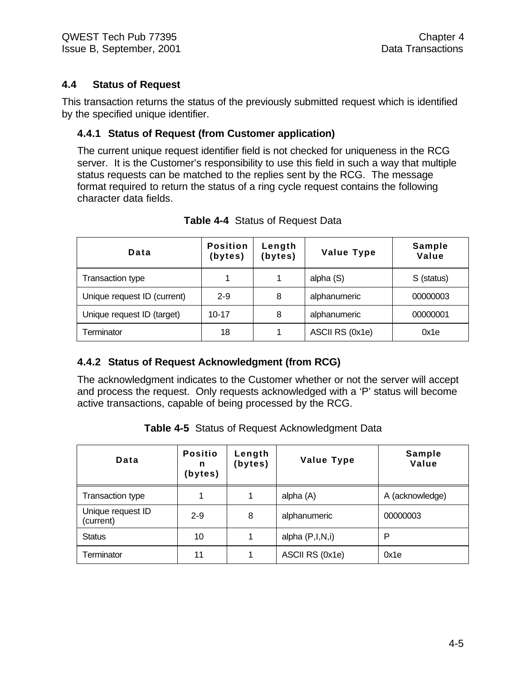#### **4.4 Status of Request**

This transaction returns the status of the previously submitted request which is identified by the specified unique identifier.

#### **4.4.1 Status of Request (from Customer application)**

The current unique request identifier field is not checked for uniqueness in the RCG server. It is the Customer's responsibility to use this field in such a way that multiple status requests can be matched to the replies sent by the RCG. The message format required to return the status of a ring cycle request contains the following character data fields.

| Data                        | <b>Position</b><br>(bytes) | Length<br>(bytes) | <b>Value Type</b> | <b>Sample</b><br>Value |
|-----------------------------|----------------------------|-------------------|-------------------|------------------------|
| <b>Transaction type</b>     |                            |                   | alpha (S)         | S (status)             |
| Unique request ID (current) | $2 - 9$                    | 8                 | alphanumeric      | 00000003               |
| Unique request ID (target)  | $10 - 17$                  | 8                 | alphanumeric      | 00000001               |
| Terminator                  | 18                         |                   | ASCII RS (0x1e)   | 0x1e                   |

#### **Table 4-4** Status of Request Data

#### **4.4.2 Status of Request Acknowledgment (from RCG)**

The acknowledgment indicates to the Customer whether or not the server will accept and process the request. Only requests acknowledged with a 'P' status will become active transactions, capable of being processed by the RCG.

| Data                           | <b>Positio</b><br>n<br>(bytes) | Length<br>(bytes) | <b>Value Type</b> | <b>Sample</b><br>Value |
|--------------------------------|--------------------------------|-------------------|-------------------|------------------------|
| Transaction type               |                                |                   | alpha (A)         | A (acknowledge)        |
| Unique request ID<br>(current) | $2 - 9$                        | 8                 | alphanumeric      | 00000003               |
| <b>Status</b>                  | 10                             |                   | alpha $(P,I,N,i)$ | P                      |
| Terminator                     | 11                             |                   | ASCII RS (0x1e)   | 0x1e                   |

**Table 4-5** Status of Request Acknowledgment Data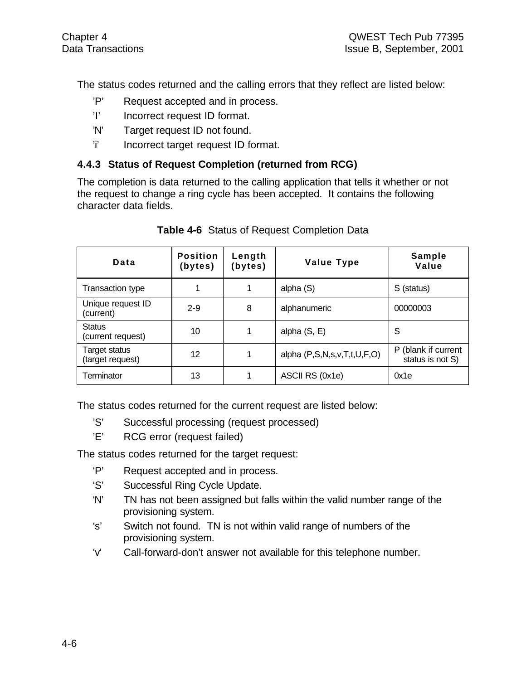The status codes returned and the calling errors that they reflect are listed below:

- 'P' Request accepted and in process.
- 'I' Incorrect request ID format.
- 'N' Target request ID not found.
- 'i' Incorrect target request ID format.

#### **4.4.3 Status of Request Completion (returned from RCG)**

The completion is data returned to the calling application that tells it whether or not the request to change a ring cycle has been accepted. It contains the following character data fields.

| Data                                     | <b>Position</b><br>(bytes) | Length<br>(bytes) | <b>Value Type</b>           | Sample<br>Value                         |
|------------------------------------------|----------------------------|-------------------|-----------------------------|-----------------------------------------|
| <b>Transaction type</b>                  |                            | 1                 | alpha (S)                   | S (status)                              |
| Unique request ID<br>(current)           | $2 - 9$                    | 8                 | alphanumeric                | 00000003                                |
| <b>Status</b><br>(current request)       | 10                         | 1                 | alpha $(S, E)$              | S                                       |
| <b>Target status</b><br>(target request) | 12                         | 1                 | alpha (P,S,N,s,v,T,t,U,F,O) | P (blank if current<br>status is not S) |
| Terminator                               | 13                         | 1                 | ASCII RS (0x1e)             | 0x1e                                    |

#### **Table 4-6** Status of Request Completion Data

The status codes returned for the current request are listed below:

- 'S' Successful processing (request processed)
- 'E' RCG error (request failed)

The status codes returned for the target request:

- 'P' Request accepted and in process.
- 'S' Successful Ring Cycle Update.
- 'N' TN has not been assigned but falls within the valid number range of the provisioning system.
- 's' Switch not found. TN is not within valid range of numbers of the provisioning system.
- 'v' Call-forward-don't answer not available for this telephone number.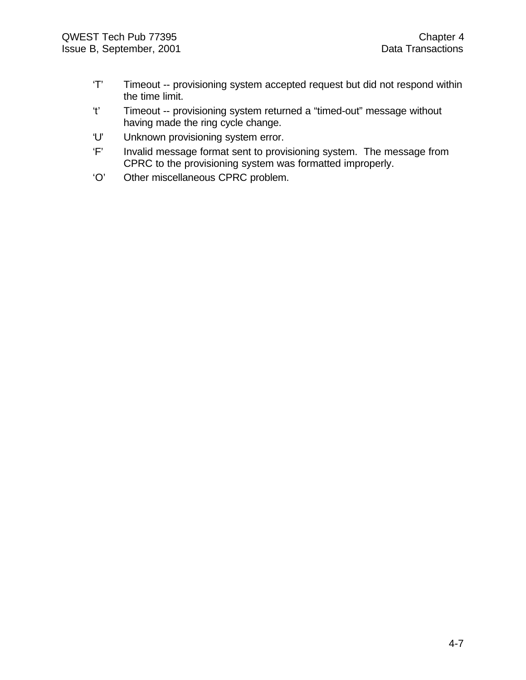- 'T' Timeout -- provisioning system accepted request but did not respond within the time limit.
- 't' Timeout -- provisioning system returned a "timed-out" message without having made the ring cycle change.
- 'U' Unknown provisioning system error.
- 'F' Invalid message format sent to provisioning system. The message from CPRC to the provisioning system was formatted improperly.
- 'O' Other miscellaneous CPRC problem.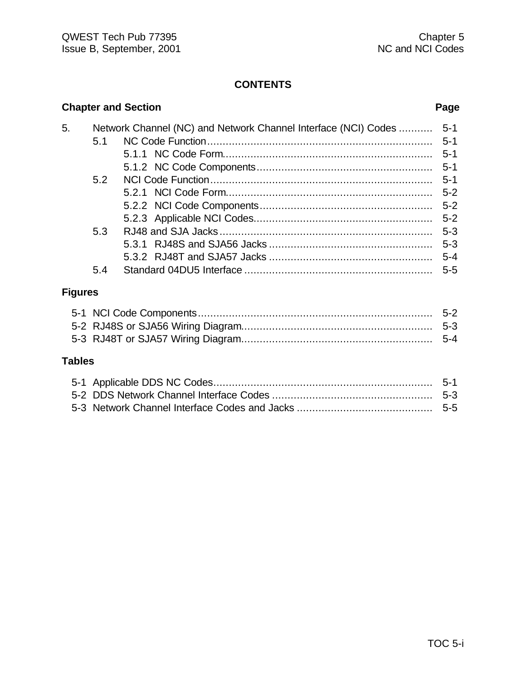|                |     | <b>Chapter and Section</b>                                     | Page    |
|----------------|-----|----------------------------------------------------------------|---------|
| 5.             |     | Network Channel (NC) and Network Channel Interface (NCI) Codes | $5 - 1$ |
|                | 5.1 |                                                                | $5 - 1$ |
|                |     |                                                                | $5 - 1$ |
|                |     |                                                                | $5 - 1$ |
|                | 5.2 |                                                                | $5 - 1$ |
|                |     |                                                                | $5 - 2$ |
|                |     |                                                                | $5 - 2$ |
|                |     |                                                                | $5-2$   |
|                | 5.3 |                                                                | $5 - 3$ |
|                |     |                                                                | $5 - 3$ |
|                |     |                                                                | $5 - 4$ |
|                | 5.4 |                                                                | $5 - 5$ |
| <b>Figures</b> |     |                                                                |         |
|                |     |                                                                | $5 - 2$ |
|                |     |                                                                | $5 - 3$ |

#### **Tables**

5-3 RJ48T or SJA57 Wiring Diagram.............................................................. 5-4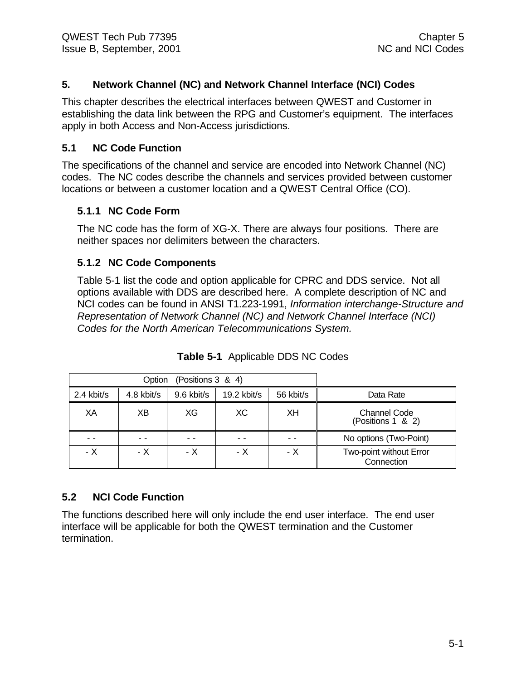#### **5. Network Channel (NC) and Network Channel Interface (NCI) Codes**

This chapter describes the electrical interfaces between QWEST and Customer in establishing the data link between the RPG and Customer's equipment. The interfaces apply in both Access and Non-Access jurisdictions.

#### **5.1 NC Code Function**

The specifications of the channel and service are encoded into Network Channel (NC) codes. The NC codes describe the channels and services provided between customer locations or between a customer location and a QWEST Central Office (CO).

#### **5.1.1 NC Code Form**

The NC code has the form of XG-X. There are always four positions. There are neither spaces nor delimiters between the characters.

#### **5.1.2 NC Code Components**

Table 5-1 list the code and option applicable for CPRC and DDS service. Not all options available with DDS are described here. A complete description of NC and NCI codes can be found in ANSI T1.223-1991, *Information interchange-Structure and Representation of Network Channel (NC) and Network Channel Interface (NCI) Codes for the North American Telecommunications System.*

|            | Option     |              |               |           |                                          |
|------------|------------|--------------|---------------|-----------|------------------------------------------|
| 2.4 kbit/s | 4.8 kbit/s | $9.6$ kbit/s | $19.2$ kbit/s | 56 kbit/s | Data Rate                                |
| XΑ         | ХB         | XG           | ХC            | XH        | <b>Channel Code</b><br>(Positions 1 & 2) |
|            |            |              |               |           | No options (Two-Point)                   |
| - X        | - X        | - X          | - X           | - X       | Two-point without Error<br>Connection    |

**Table 5-1** Applicable DDS NC Codes

#### **5.2 NCI Code Function**

The functions described here will only include the end user interface. The end user interface will be applicable for both the QWEST termination and the Customer termination.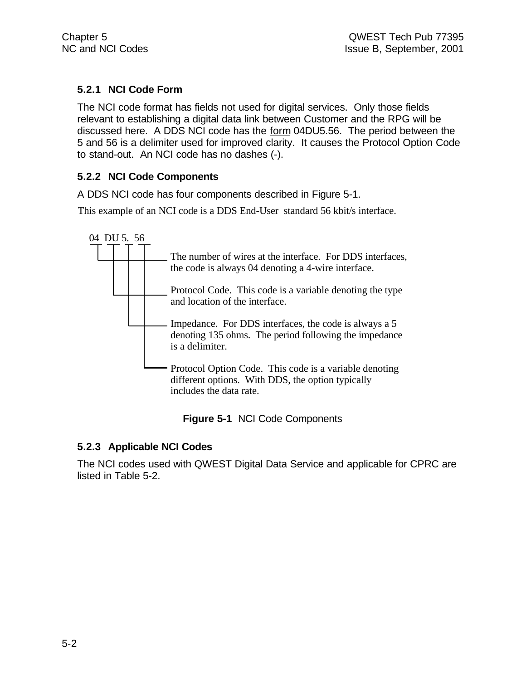### **5.2.1 NCI Code Form**

The NCI code format has fields not used for digital services. Only those fields relevant to establishing a digital data link between Customer and the RPG will be discussed here. A DDS NCI code has the form 04DU5.56. The period between the 5 and 56 is a delimiter used for improved clarity. It causes the Protocol Option Code to stand-out. An NCI code has no dashes (-).

### **5.2.2 NCI Code Components**

A DDS NCI code has four components described in Figure 5-1.

This example of an NCI code is a DDS End-User standard 56 kbit/s interface.



|  |  | Figure 5-1 NCI Code Components |
|--|--|--------------------------------|
|--|--|--------------------------------|

#### **5.2.3 Applicable NCI Codes**

The NCI codes used with QWEST Digital Data Service and applicable for CPRC are listed in Table 5-2.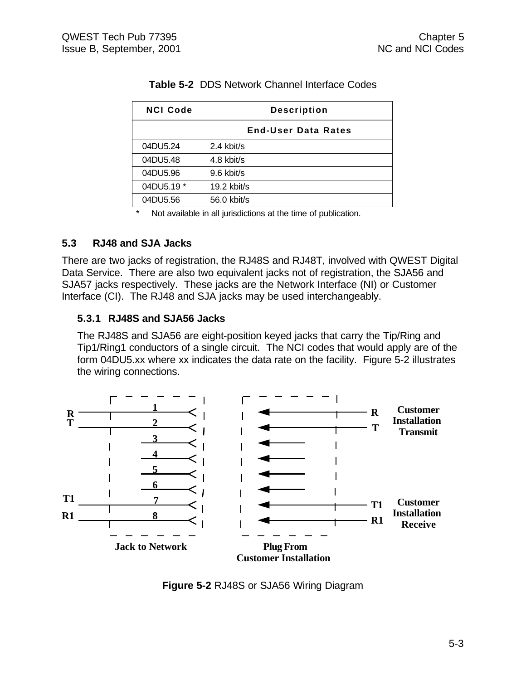| <b>NCI Code</b> | <b>Description</b>         |  |  |
|-----------------|----------------------------|--|--|
|                 | <b>End-User Data Rates</b> |  |  |
| 04DU5.24        | 2.4 kbit/s                 |  |  |
| 04DU5.48        | 4.8 kbit/s                 |  |  |
| 04DU5.96        | 9.6 kbit/s                 |  |  |
| 04DU5.19 *      | 19.2 kbit/s                |  |  |
| 04DU5.56        | 56.0 kbit/s                |  |  |

#### **Table 5-2** DDS Network Channel Interface Codes

\* Not available in all jurisdictions at the time of publication.

#### **5.3 RJ48 and SJA Jacks**

There are two jacks of registration, the RJ48S and RJ48T, involved with QWEST Digital Data Service. There are also two equivalent jacks not of registration, the SJA56 and SJA57 jacks respectively. These jacks are the Network Interface (NI) or Customer Interface (CI). The RJ48 and SJA jacks may be used interchangeably.

#### **5.3.1 RJ48S and SJA56 Jacks**

The RJ48S and SJA56 are eight-position keyed jacks that carry the Tip/Ring and Tip1/Ring1 conductors of a single circuit. The NCI codes that would apply are of the form 04DU5.xx where xx indicates the data rate on the facility. Figure 5-2 illustrates the wiring connections.



**Figure 5-2** RJ48S or SJA56 Wiring Diagram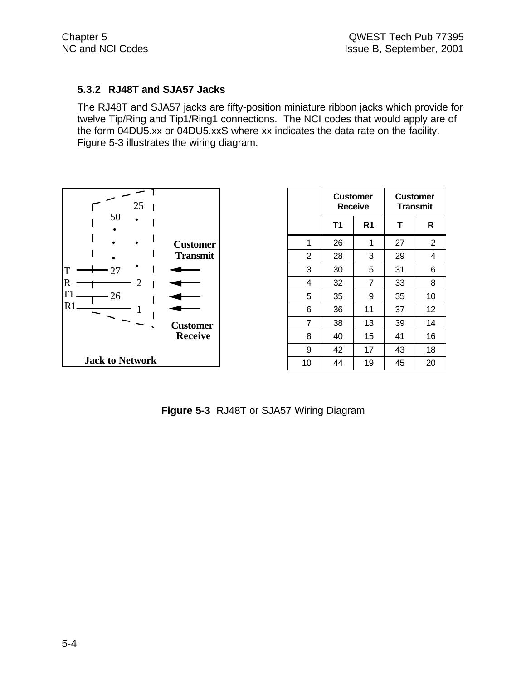#### **5.3.2 RJ48T and SJA57 Jacks**

The RJ48T and SJA57 jacks are fifty-position miniature ribbon jacks which provide for twelve Tip/Ring and Tip1/Ring1 connections. The NCI codes that would apply are of the form 04DU5.xx or 04DU5.xxS where xx indicates the data rate on the facility. Figure 5-3 illustrates the wiring diagram.



|                | <b>Customer</b> | <b>Receive</b> |    | Customer<br><b>Transmit</b> |
|----------------|-----------------|----------------|----|-----------------------------|
|                | <b>T1</b>       | R <sub>1</sub> | т  | R                           |
| 1              | 26              | 1              | 27 | $\overline{2}$              |
| $\overline{2}$ | 28              | 3              | 29 | 4                           |
| 3              | 30              | 5              | 31 | 6                           |
| 4              | 32              | 7              | 33 | 8                           |
| 5              | 35              | 9              | 35 | 10                          |
| 6              | 36              | 11             | 37 | 12                          |
| $\overline{7}$ | 38              | 13             | 39 | 14                          |
| 8              | 40              | 15             | 41 | 16                          |
| 9              | 42              | 17             | 43 | 18                          |
| 10             | 44              | 19             | 45 | 20                          |

**Figure 5-3** RJ48T or SJA57 Wiring Diagram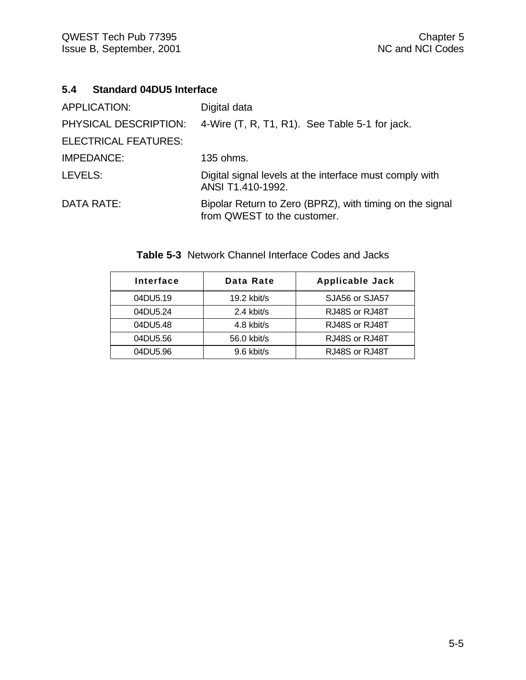### **5.4 Standard 04DU5 Interface**

| APPLICATION:                | Digital data                                                                            |
|-----------------------------|-----------------------------------------------------------------------------------------|
| PHYSICAL DESCRIPTION:       | 4-Wire (T, R, T1, R1). See Table 5-1 for jack.                                          |
| <b>ELECTRICAL FEATURES:</b> |                                                                                         |
| <b>IMPEDANCE:</b>           | 135 ohms.                                                                               |
| LEVELS:                     | Digital signal levels at the interface must comply with<br>ANSI T1.410-1992.            |
| <b>DATA RATE:</b>           | Bipolar Return to Zero (BPRZ), with timing on the signal<br>from QWEST to the customer. |

| Interface | Data Rate     | <b>Applicable Jack</b> |
|-----------|---------------|------------------------|
| 04DU5.19  | $19.2$ kbit/s | SJA56 or SJA57         |
| 04DU5.24  | 2.4 kbit/s    | RJ48S or RJ48T         |
| 04DU5.48  | 4.8 kbit/s    | RJ48S or RJ48T         |
| 04DU5.56  | 56.0 kbit/s   | RJ48S or RJ48T         |
| 04DU5.96  | $9.6$ kbit/s  | RJ48S or RJ48T         |

**Table 5-3** Network Channel Interface Codes and Jacks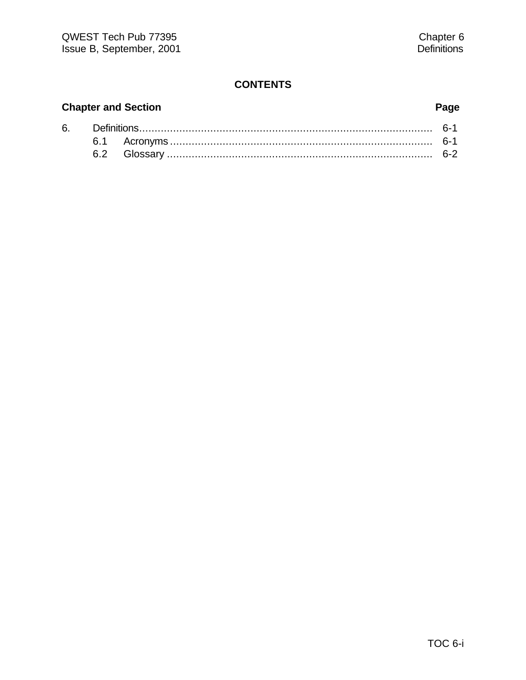# **Chapter and Section Page**

| 6. |  |                                         |  |
|----|--|-----------------------------------------|--|
|    |  |                                         |  |
|    |  | Glossary ……………………………………………………………………………… |  |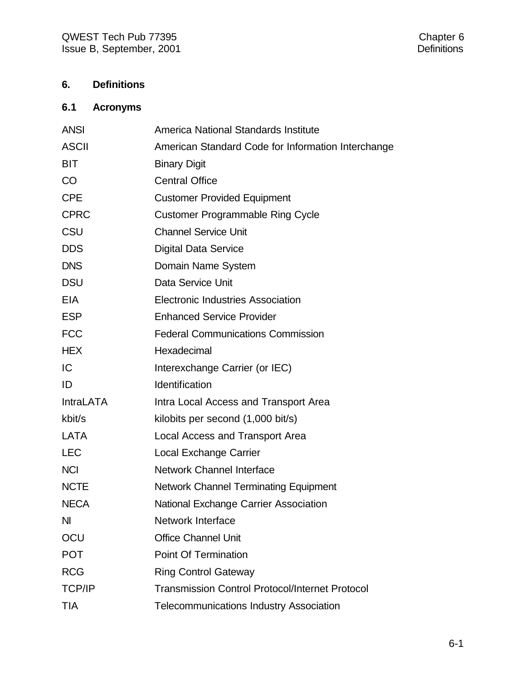# **6. Definitions**

# **6.1 Acronyms**

| <b>ANSI</b>      | America National Standards Institute                   |
|------------------|--------------------------------------------------------|
| <b>ASCII</b>     | American Standard Code for Information Interchange     |
| <b>BIT</b>       | <b>Binary Digit</b>                                    |
| CO               | <b>Central Office</b>                                  |
| <b>CPE</b>       | <b>Customer Provided Equipment</b>                     |
| <b>CPRC</b>      | <b>Customer Programmable Ring Cycle</b>                |
| CSU              | <b>Channel Service Unit</b>                            |
| <b>DDS</b>       | <b>Digital Data Service</b>                            |
| <b>DNS</b>       | Domain Name System                                     |
| <b>DSU</b>       | Data Service Unit                                      |
| <b>EIA</b>       | Electronic Industries Association                      |
| <b>ESP</b>       | <b>Enhanced Service Provider</b>                       |
| <b>FCC</b>       | <b>Federal Communications Commission</b>               |
| <b>HEX</b>       | Hexadecimal                                            |
| IC               | Interexchange Carrier (or IEC)                         |
| ID               | Identification                                         |
| <b>IntraLATA</b> | Intra Local Access and Transport Area                  |
| kbit/s           | kilobits per second (1,000 bit/s)                      |
| <b>LATA</b>      | Local Access and Transport Area                        |
| <b>LEC</b>       | <b>Local Exchange Carrier</b>                          |
| <b>NCI</b>       | Network Channel Interface                              |
| <b>NCTE</b>      | <b>Network Channel Terminating Equipment</b>           |
| <b>NECA</b>      | <b>National Exchange Carrier Association</b>           |
| N <sub>l</sub>   | <b>Network Interface</b>                               |
| OCU              | <b>Office Channel Unit</b>                             |
| <b>POT</b>       | <b>Point Of Termination</b>                            |
| <b>RCG</b>       | <b>Ring Control Gateway</b>                            |
| <b>TCP/IP</b>    | <b>Transmission Control Protocol/Internet Protocol</b> |
| <b>TIA</b>       | <b>Telecommunications Industry Association</b>         |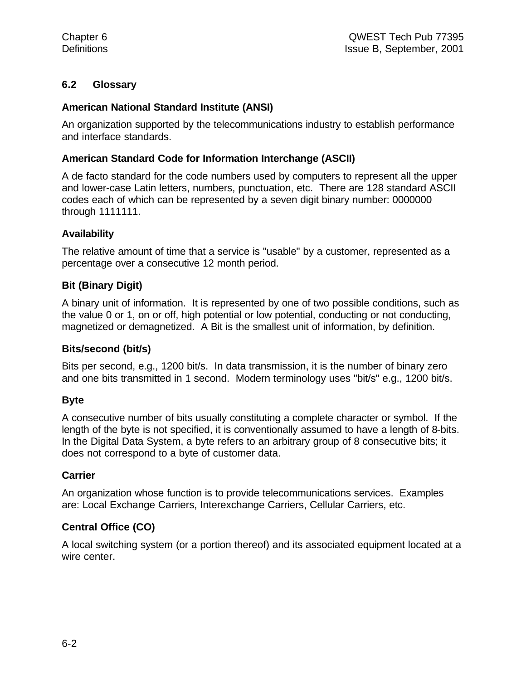#### **6.2 Glossary**

#### **American National Standard Institute (ANSI)**

An organization supported by the telecommunications industry to establish performance and interface standards.

#### **American Standard Code for Information Interchange (ASCII)**

A de facto standard for the code numbers used by computers to represent all the upper and lower-case Latin letters, numbers, punctuation, etc. There are 128 standard ASCII codes each of which can be represented by a seven digit binary number: 0000000 through 1111111.

#### **Availability**

The relative amount of time that a service is "usable" by a customer, represented as a percentage over a consecutive 12 month period.

#### **Bit (Binary Digit)**

A binary unit of information. It is represented by one of two possible conditions, such as the value 0 or 1, on or off, high potential or low potential, conducting or not conducting, magnetized or demagnetized. A Bit is the smallest unit of information, by definition.

#### **Bits/second (bit/s)**

Bits per second, e.g., 1200 bit/s. In data transmission, it is the number of binary zero and one bits transmitted in 1 second. Modern terminology uses "bit/s" e.g., 1200 bit/s.

#### **Byte**

A consecutive number of bits usually constituting a complete character or symbol. If the length of the byte is not specified, it is conventionally assumed to have a length of 8-bits. In the Digital Data System, a byte refers to an arbitrary group of 8 consecutive bits; it does not correspond to a byte of customer data.

#### **Carrier**

An organization whose function is to provide telecommunications services. Examples are: Local Exchange Carriers, Interexchange Carriers, Cellular Carriers, etc.

### **Central Office (CO)**

A local switching system (or a portion thereof) and its associated equipment located at a wire center.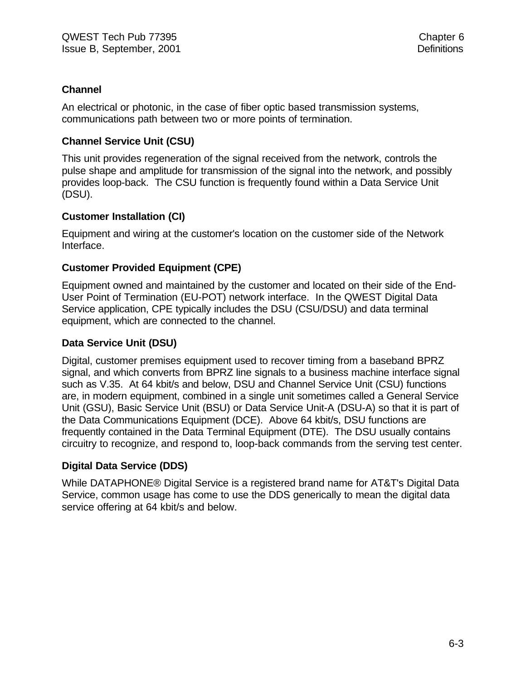#### **Channel**

An electrical or photonic, in the case of fiber optic based transmission systems, communications path between two or more points of termination.

#### **Channel Service Unit (CSU)**

This unit provides regeneration of the signal received from the network, controls the pulse shape and amplitude for transmission of the signal into the network, and possibly provides loop-back. The CSU function is frequently found within a Data Service Unit (DSU).

#### **Customer Installation (CI)**

Equipment and wiring at the customer's location on the customer side of the Network Interface.

#### **Customer Provided Equipment (CPE)**

Equipment owned and maintained by the customer and located on their side of the End-User Point of Termination (EU-POT) network interface. In the QWEST Digital Data Service application, CPE typically includes the DSU (CSU/DSU) and data terminal equipment, which are connected to the channel.

#### **Data Service Unit (DSU)**

Digital, customer premises equipment used to recover timing from a baseband BPRZ signal, and which converts from BPRZ line signals to a business machine interface signal such as V.35. At 64 kbit/s and below, DSU and Channel Service Unit (CSU) functions are, in modern equipment, combined in a single unit sometimes called a General Service Unit (GSU), Basic Service Unit (BSU) or Data Service Unit-A (DSU-A) so that it is part of the Data Communications Equipment (DCE). Above 64 kbit/s, DSU functions are frequently contained in the Data Terminal Equipment (DTE). The DSU usually contains circuitry to recognize, and respond to, loop-back commands from the serving test center.

#### **Digital Data Service (DDS)**

While DATAPHONE® Digital Service is a registered brand name for AT&T's Digital Data Service, common usage has come to use the DDS generically to mean the digital data service offering at 64 kbit/s and below.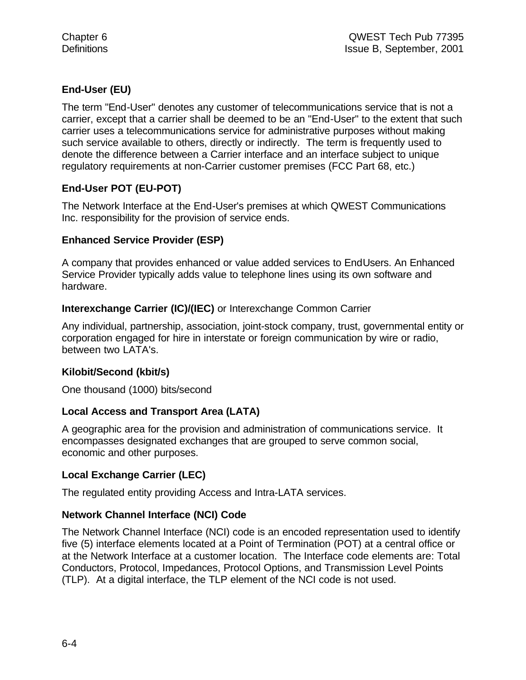### **End-User (EU)**

The term "End-User" denotes any customer of telecommunications service that is not a carrier, except that a carrier shall be deemed to be an "End-User" to the extent that such carrier uses a telecommunications service for administrative purposes without making such service available to others, directly or indirectly. The term is frequently used to denote the difference between a Carrier interface and an interface subject to unique regulatory requirements at non-Carrier customer premises (FCC Part 68, etc.)

#### **End-User POT (EU-POT)**

The Network Interface at the End-User's premises at which QWEST Communications Inc. responsibility for the provision of service ends.

#### **Enhanced Service Provider (ESP)**

A company that provides enhanced or value added services to EndUsers. An Enhanced Service Provider typically adds value to telephone lines using its own software and hardware.

#### **Interexchange Carrier (IC)/(IEC)** or Interexchange Common Carrier

Any individual, partnership, association, joint-stock company, trust, governmental entity or corporation engaged for hire in interstate or foreign communication by wire or radio, between two LATA's.

#### **Kilobit/Second (kbit/s)**

One thousand (1000) bits/second

#### **Local Access and Transport Area (LATA)**

A geographic area for the provision and administration of communications service. It encompasses designated exchanges that are grouped to serve common social, economic and other purposes.

#### **Local Exchange Carrier (LEC)**

The regulated entity providing Access and Intra-LATA services.

#### **Network Channel Interface (NCI) Code**

The Network Channel Interface (NCI) code is an encoded representation used to identify five (5) interface elements located at a Point of Termination (POT) at a central office or at the Network Interface at a customer location. The Interface code elements are: Total Conductors, Protocol, Impedances, Protocol Options, and Transmission Level Points (TLP). At a digital interface, the TLP element of the NCI code is not used.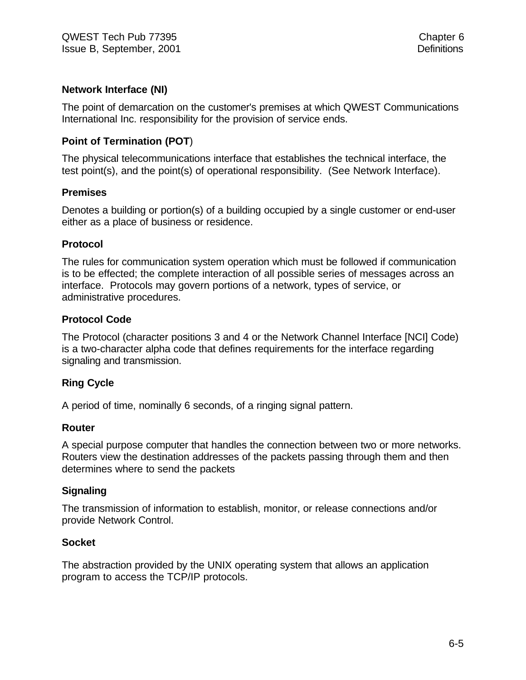#### **Network Interface (NI)**

The point of demarcation on the customer's premises at which QWEST Communications International Inc. responsibility for the provision of service ends.

#### **Point of Termination (POT**)

The physical telecommunications interface that establishes the technical interface, the test point(s), and the point(s) of operational responsibility. (See Network Interface).

#### **Premises**

Denotes a building or portion(s) of a building occupied by a single customer or end-user either as a place of business or residence.

#### **Protocol**

The rules for communication system operation which must be followed if communication is to be effected; the complete interaction of all possible series of messages across an interface. Protocols may govern portions of a network, types of service, or administrative procedures.

#### **Protocol Code**

The Protocol (character positions 3 and 4 or the Network Channel Interface [NCI] Code) is a two-character alpha code that defines requirements for the interface regarding signaling and transmission.

#### **Ring Cycle**

A period of time, nominally 6 seconds, of a ringing signal pattern.

#### **Router**

A special purpose computer that handles the connection between two or more networks. Routers view the destination addresses of the packets passing through them and then determines where to send the packets

#### **Signaling**

The transmission of information to establish, monitor, or release connections and/or provide Network Control.

#### **Socket**

The abstraction provided by the UNIX operating system that allows an application program to access the TCP/IP protocols.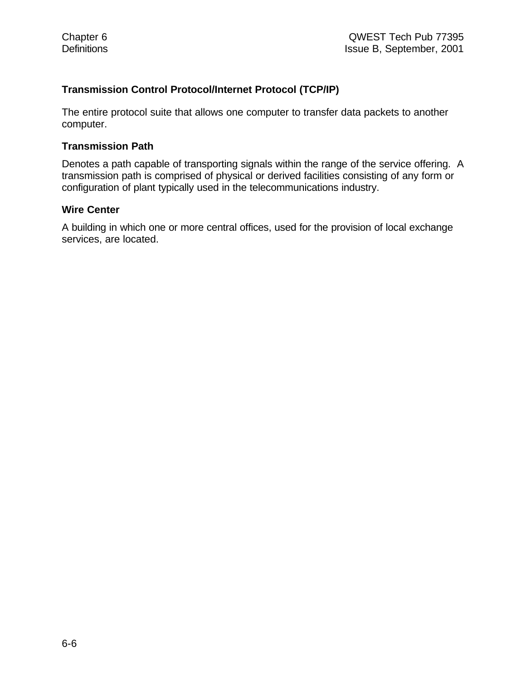#### **Transmission Control Protocol/Internet Protocol (TCP/IP)**

The entire protocol suite that allows one computer to transfer data packets to another computer.

#### **Transmission Path**

Denotes a path capable of transporting signals within the range of the service offering. A transmission path is comprised of physical or derived facilities consisting of any form or configuration of plant typically used in the telecommunications industry.

#### **Wire Center**

A building in which one or more central offices, used for the provision of local exchange services, are located.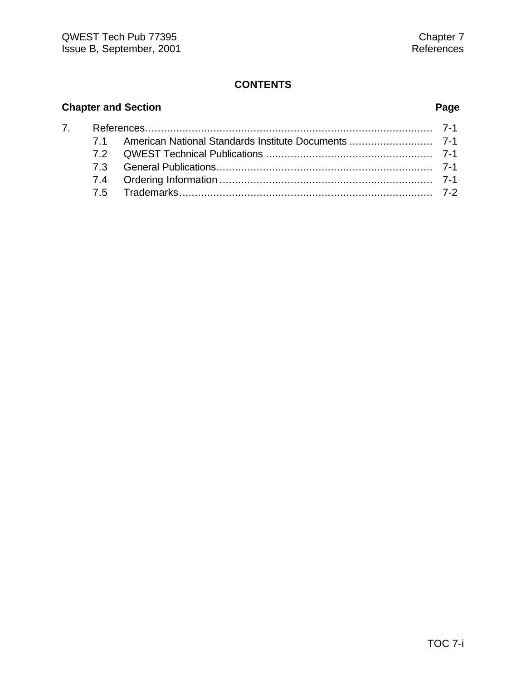# **Chapter and Section Page**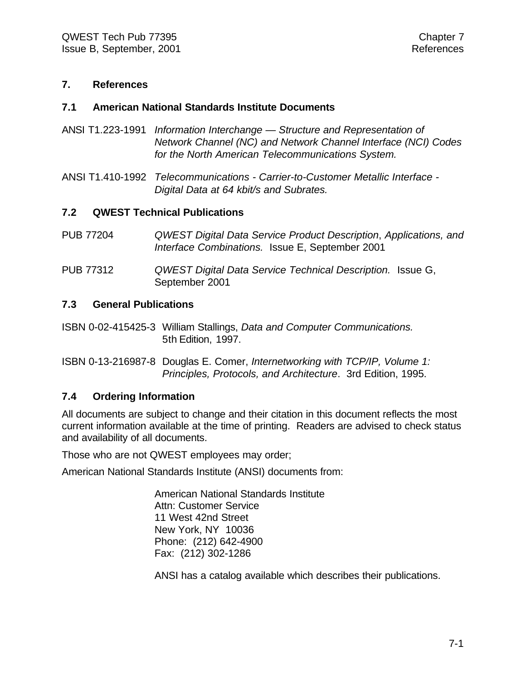#### **7. References**

#### **7.1 American National Standards Institute Documents**

- ANSI T1.223-1991 *Information Interchange Structure and Representation of Network Channel (NC) and Network Channel Interface (NCI) Codes for the North American Telecommunications System.*
- ANSI T1.410-1992 *Telecommunications Carrier-to-Customer Metallic Interface - Digital Data at 64 kbit/s and Subrates.*

#### **7.2 QWEST Technical Publications**

- PUB 77204 *QWEST Digital Data Service Product Description*, *Applications, and Interface Combinations.* Issue E, September 2001
- PUB 77312 *QWEST Digital Data Service Technical Description.* Issue G, September 2001

#### **7.3 General Publications**

- ISBN 0-02-415425-3 William Stallings, *Data and Computer Communications.* 5th Edition, 1997.
- ISBN 0-13-216987-8 Douglas E. Comer, *Internetworking with TCP/IP, Volume 1: Principles, Protocols, and Architecture*. 3rd Edition, 1995.

#### **7.4 Ordering Information**

All documents are subject to change and their citation in this document reflects the most current information available at the time of printing. Readers are advised to check status and availability of all documents.

Those who are not QWEST employees may order;

American National Standards Institute (ANSI) documents from:

American National Standards Institute Attn: Customer Service 11 West 42nd Street New York, NY 10036 Phone: (212) 642-4900 Fax: (212) 302-1286

ANSI has a catalog available which describes their publications.